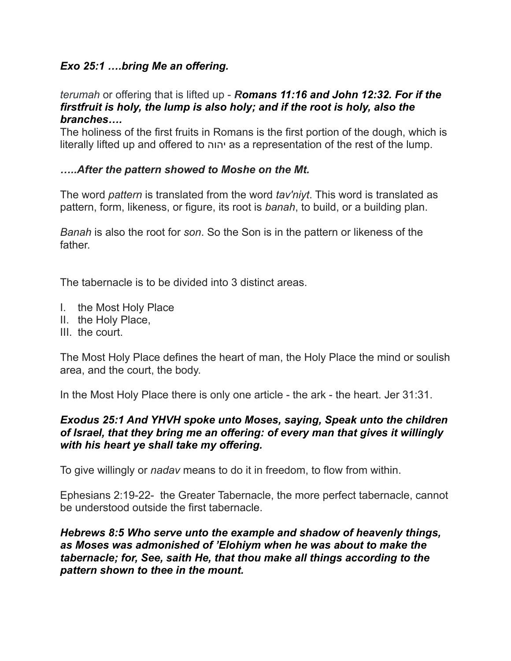# *Exo 25:1 ….bring Me an offering.*

#### *terumah* or offering that is lifted up - *Romans 11:16 and John 12:32. For if the firstfruit is holy, the lump is also holy; and if the root is holy, also the branches….*

The holiness of the first fruits in Romans is the first portion of the dough, which is literally lifted up and offered to יהוה as a representation of the rest of the lump.

## *…..After the pattern showed to Moshe on the Mt.*

The word *pattern* is translated from the word *tav'niyt*. This word is translated as pattern, form, likeness, or figure, its root is *banah*, to build, or a building plan.

*Banah* is also the root for *son*. So the Son is in the pattern or likeness of the father.

The tabernacle is to be divided into 3 distinct areas.

- I. the Most Holy Place
- II. the Holy Place,
- III. the court.

The Most Holy Place defines the heart of man, the Holy Place the mind or soulish area, and the court, the body.

In the Most Holy Place there is only one article - the ark - the heart. Jer 31:31.

### *Exodus 25:1 And YHVH spoke unto Moses, saying, Speak unto the children of Israel, that they bring me an offering: of every man that gives it willingly with his heart ye shall take my offering.*

To give willingly or *nadav* means to do it in freedom, to flow from within.

Ephesians 2:19-22- the Greater Tabernacle, the more perfect tabernacle, cannot be understood outside the first tabernacle.

### *Hebrews 8:5 Who serve unto the example and shadow of heavenly things, as Moses was admonished of 'Elohiym when he was about to make the tabernacle; for, See, saith He, that thou make all things according to the pattern shown to thee in the mount.*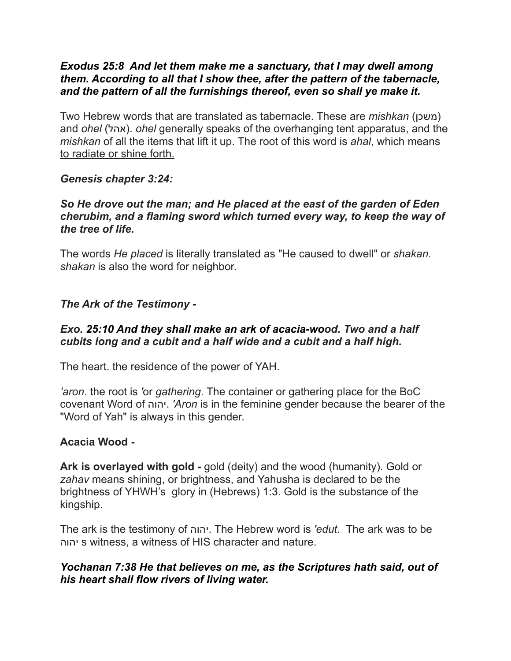### *Exodus 25:8 And let them make me a sanctuary, that I may dwell among them. According to all that I show thee, after the pattern of the tabernacle, and the pattern of all the furnishings thereof, even so shall ye make it.*

Two Hebrew words that are translated as tabernacle. These are *mishkan* (משכן) and *ohel* (אהל). *ohel* generally speaks of the overhanging tent apparatus, and the *mishkan* of all the items that lift it up. The root of this word is *ahal*, which means to radiate or shine forth.

### *Genesis chapter 3:24:*

#### *So He drove out the man; and He placed at the east of the garden of Eden cherubim, and a flaming sword which turned every way, to keep the way of the tree of life.*

The words *He placed* is literally translated as "He caused to dwell" or *shakan*. *shakan* is also the word for neighbor.

### *The Ark of the Testimony -*

### *Exo. 25:10 And they shall make an ark of acacia-wood. Two and a half cubits long and a cubit and a half wide and a cubit and a half high.*

The heart. the residence of the power of YAH.

*'aron*. the root is *'*or *gathering*. The container or gathering place for the BoC covenant Word of יהוה.*' Aron* is in the feminine gender because the bearer of the "Word of Yah" is always in this gender.

#### **Acacia Wood -**

**Ark is overlayed with gold -** gold (deity) and the wood (humanity). Gold or *zahav* means shining, or brightness, and Yahusha is declared to be the brightness of YHWH's glory in (Hebrews) 1:3. Gold is the substance of the kingship.

The ark is the testimony of יהוה. The Hebrew word is *'edut*. The ark was to be יהוה s witness, a witness of HIS character and nature.

### *Yochanan 7:38 He that believes on me, as the Scriptures hath said, out of his heart shall flow rivers of living water.*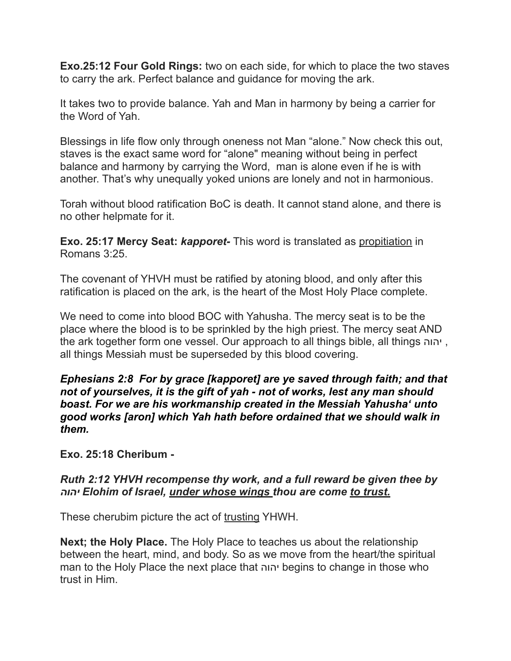**Exo.25:12 Four Gold Rings:** two on each side, for which to place the two staves to carry the ark. Perfect balance and guidance for moving the ark.

It takes two to provide balance. Yah and Man in harmony by being a carrier for the Word of Yah.

Blessings in life flow only through oneness not Man "alone." Now check this out, staves is the exact same word for "alone" meaning without being in perfect balance and harmony by carrying the Word, man is alone even if he is with another. That's why unequally yoked unions are lonely and not in harmonious.

Torah without blood ratification BoC is death. It cannot stand alone, and there is no other helpmate for it.

**Exo. 25:17 Mercy Seat:** *kapporet-* This word is translated as propitiation in Romans 3:25.

The covenant of YHVH must be ratified by atoning blood, and only after this ratification is placed on the ark, is the heart of the Most Holy Place complete.

We need to come into blood BOC with Yahusha. The mercy seat is to be the place where the blood is to be sprinkled by the high priest. The mercy seat AND the ark together form one vessel. Our approach to all things bible, all things יהוה , all things Messiah must be superseded by this blood covering.

*Ephesians 2:8 For by grace [kapporet] are ye saved through faith; and that not of yourselves, it is the gift of yah - not of works, lest any man should boast. For we are his workmanship created in the Messiah Yahusha' unto good works [aron] which Yah hath before ordained that we should walk in them.*

**Exo. 25:18 Cheribum -** 

## *Ruth 2:12 YHVH recompense thy work, and a full reward be given thee by יהוה Elohim of Israel, under whose wings thou are come to trust.*

These cherubim picture the act of trusting YHWH.

**Next; the Holy Place.** The Holy Place to teaches us about the relationship between the heart, mind, and body. So as we move from the heart/the spiritual man to the Holy Place the next place that יהוה begins to change in those who trust in Him.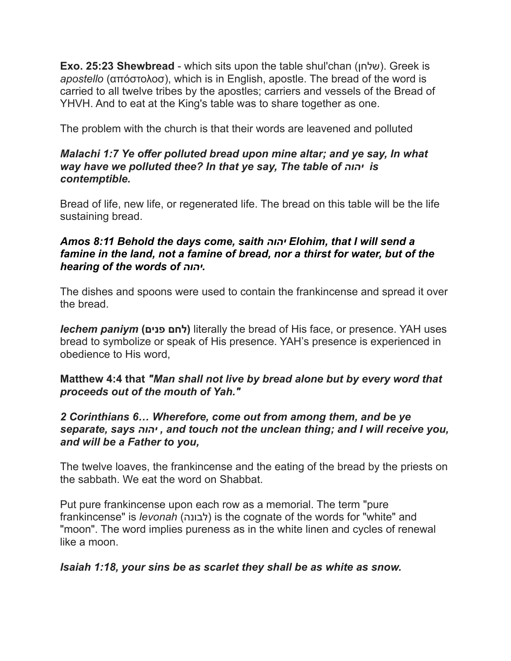**Exo. 25:23 Shewbread** - which sits upon the table shul'chan (שלחן). Greek is *apostello* (απόστολοσ), which is in English, apostle. The bread of the word is carried to all twelve tribes by the apostles; carriers and vessels of the Bread of YHVH. And to eat at the King's table was to share together as one.

The problem with the church is that their words are leavened and polluted

### *Malachi 1:7 Ye offer polluted bread upon mine altar; and ye say, In what way have we polluted thee? In that ye say, The table of יהוה is contemptible.*

Bread of life, new life, or regenerated life. The bread on this table will be the life sustaining bread.

### *Amos 8:11 Behold the days come, saith יהוה Elohim, that I will send a famine in the land, not a famine of bread, nor a thirst for water, but of the hearing of the words of יהוה.*

The dishes and spoons were used to contain the frankincense and spread it over the bread.

*lechem paniym* **(פנים לחם (**literally the bread of His face, or presence. YAH uses bread to symbolize or speak of His presence. YAH's presence is experienced in obedience to His word,

## **Matthew 4:4 that** *"Man shall not live by bread alone but by every word that proceeds out of the mouth of Yah."*

### *2 Corinthians 6… Wherefore, come out from among them, and be ye separate, says יהוה , and touch not the unclean thing; and I will receive you, and will be a Father to you,*

The twelve loaves, the frankincense and the eating of the bread by the priests on the sabbath. We eat the word on Shabbat.

Put pure frankincense upon each row as a memorial. The term "pure frankincense" is *levonah* (לבונה (is the cognate of the words for "white" and "moon". The word implies pureness as in the white linen and cycles of renewal like a moon.

## *Isaiah 1:18, your sins be as scarlet they shall be as white as snow.*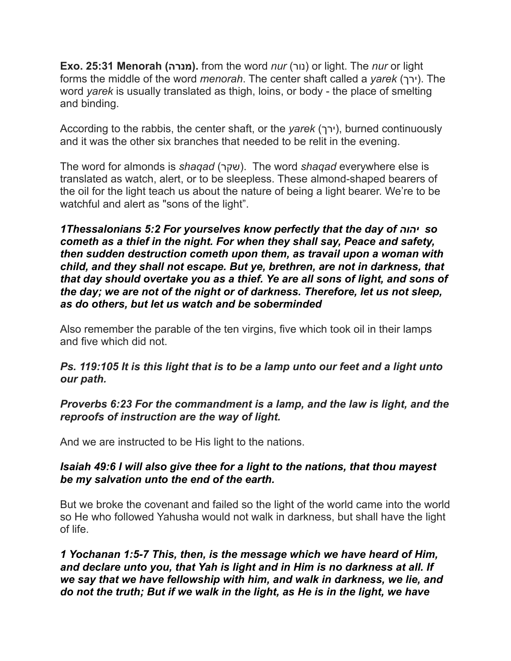**Exo. 25:31 Menorah (מנרה(.** from the word *nur* (נור (or light. The *nur* or light forms the middle of the word *menorah*. The center shaft called a *yarek* (ירך(. The word *yarek* is usually translated as thigh, loins, or body - the place of smelting and binding.

According to the rabbis, the center shaft, or the *yarek* (ירך), burned continuously and it was the other six branches that needed to be relit in the evening.

The word for almonds is *shaqad* (שקר(. The word *shaqad* everywhere else is translated as watch, alert, or to be sleepless. These almond-shaped bearers of the oil for the light teach us about the nature of being a light bearer. We're to be watchful and alert as "sons of the light".

*1Thessalonians 5:2 For yourselves know perfectly that the day of יהוה so cometh as a thief in the night. For when they shall say, Peace and safety, then sudden destruction cometh upon them, as travail upon a woman with child, and they shall not escape. But ye, brethren, are not in darkness, that that day should overtake you as a thief. Ye are all sons of light, and sons of the day; we are not of the night or of darkness. Therefore, let us not sleep, as do others, but let us watch and be soberminded*

Also remember the parable of the ten virgins, five which took oil in their lamps and five which did not.

*Ps. 119:105 It is this light that is to be a lamp unto our feet and a light unto our path.*

*Proverbs 6:23 For the commandment is a lamp, and the law is light, and the reproofs of instruction are the way of light.*

And we are instructed to be His light to the nations.

## *Isaiah 49:6 I will also give thee for a light to the nations, that thou mayest be my salvation unto the end of the earth.*

But we broke the covenant and failed so the light of the world came into the world so He who followed Yahusha would not walk in darkness, but shall have the light of life.

*1 Yochanan 1:5-7 This, then, is the message which we have heard of Him, and declare unto you, that Yah is light and in Him is no darkness at all. If we say that we have fellowship with him, and walk in darkness, we lie, and do not the truth; But if we walk in the light, as He is in the light, we have*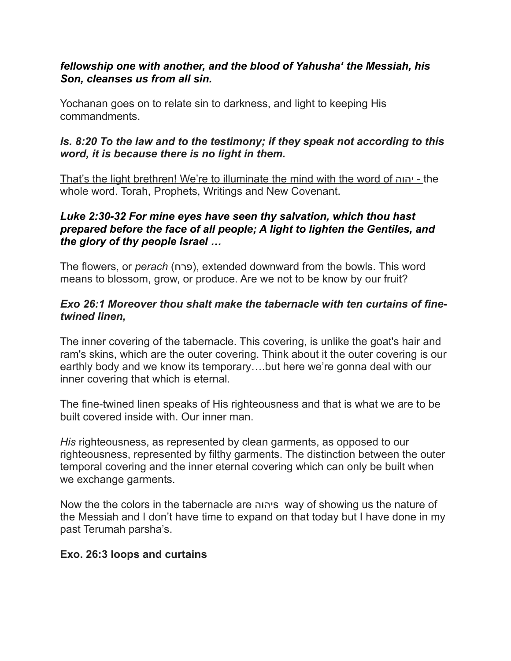## *fellowship one with another, and the blood of Yahusha' the Messiah, his Son, cleanses us from all sin.*

Yochanan goes on to relate sin to darkness, and light to keeping His commandments.

# *Is. 8:20 To the law and to the testimony; if they speak not according to this word, it is because there is no light in them.*

That's the light brethren! We're to illuminate the mind with the word of יהוה - the whole word. Torah, Prophets, Writings and New Covenant.

## *Luke 2:30-32 For mine eyes have seen thy salvation, which thou hast prepared before the face of all people; A light to lighten the Gentiles, and the glory of thy people Israel …*

The flowers, or *perach* (פרח(, extended downward from the bowls. This word means to blossom, grow, or produce. Are we not to be know by our fruit?

## *Exo 26:1 Moreover thou shalt make the tabernacle with ten curtains of finetwined linen,*

The inner covering of the tabernacle. This covering, is unlike the goat's hair and ram's skins, which are the outer covering. Think about it the outer covering is our earthly body and we know its temporary….but here we're gonna deal with our inner covering that which is eternal.

The fine-twined linen speaks of His righteousness and that is what we are to be built covered inside with. Our inner man.

*His* righteousness, as represented by clean garments, as opposed to our righteousness, represented by filthy garments. The distinction between the outer temporal covering and the inner eternal covering which can only be built when we exchange garments.

Now the the colors in the tabernacle are יהוהs way of showing us the nature of the Messiah and I don't have time to expand on that today but I have done in my past Terumah parsha's.

## **Exo. 26:3 loops and curtains**